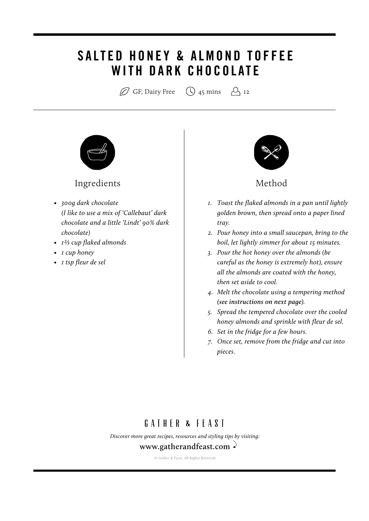# SALTED HONEY & ALMOND TOFFEE **WITH DARK CHOCOLATE**

 $\varnothing$  GF, Dairy Free  $\bigcirc$  45 mins  $\bigcirc$  12



#### Ingredients and the Method

- *• 300g dark chocolate (I like to use a mix of 'Callebaut' dark chocolate and a little 'Lindt' 90% dark chocolate)*
- *• 12/3 cup flaked almonds*
- *• 1 cup honey*
- *• 1 tsp fleur de sel*



- *1. Toast the flaked almonds in a pan until lightly golden brown, then spread onto a paper lined tray.*
- *2. Pour honey into a small saucepan, bring to the boil, let lightly simmer for about 15 minutes.*
- *3. Pour the hot honey over the almonds (be careful as the honey is extremely hot), ensure all the almonds are coated with the honey, then set aside to cool.*
- *4. Melt the chocolate using a tempering method (see instructions on next page).*
- *5. Spread the tempered chocolate over the cooled honey almonds and sprinkle with fleur de sel.*
- *6. Set in the fridge for a few hours.*
- *7. Once set, remove from the fridge and cut into pieces.*

## GATHER & FFAST

*[Discover more great recipes, resources and styling tips by visiting:](http://www.gatherandfeast.com)* **www.gatherandfeast.com**

© Gather & Feast. All Rights Reserved